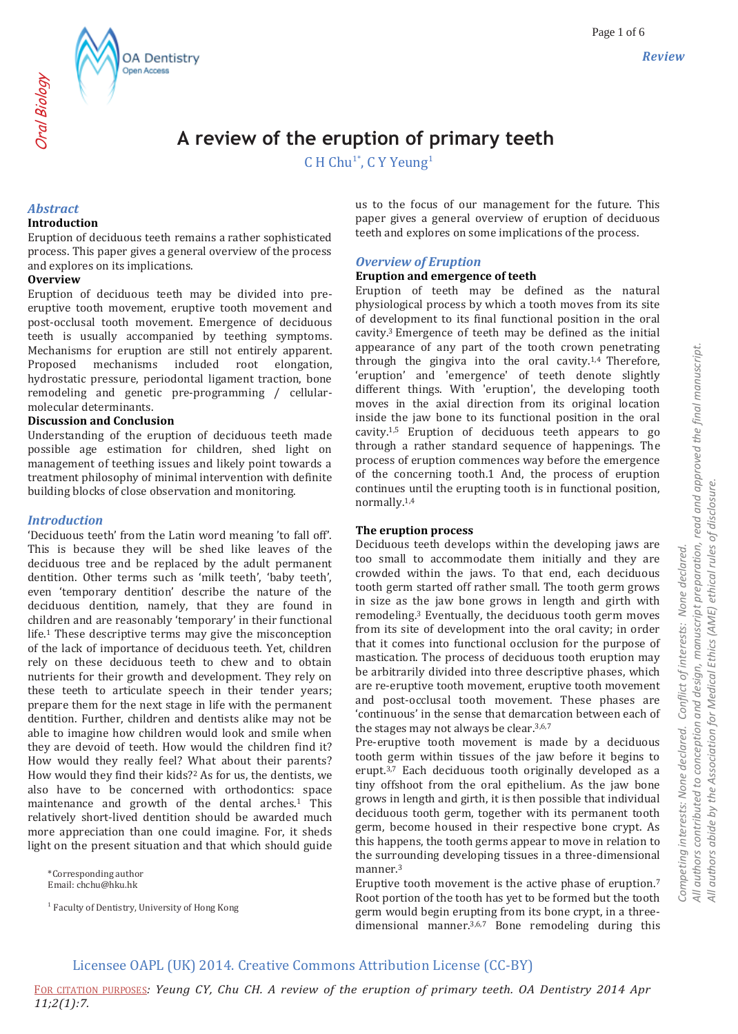# **A review of the eruption of primary teeth**

C H Chu<sup>1\*</sup>, C Y Yeung<sup>1</sup>

## *Abstract*

Oral Biology

#### **Introduction**

Eruption of deciduous teeth remains a rather sophisticated process. This paper gives a general overview of the process and explores on its implications.

**OA Dentistry** Open Access

#### **Overview**

Eruption of deciduous teeth may be divided into preeruptive tooth movement, eruptive tooth movement and post-occlusal tooth movement. Emergence of deciduous teeth is usually accompanied by teething symptoms. Mechanisms for eruption are still not entirely apparent. Proposed mechanisms included root elongation, hydrostatic pressure, periodontal ligament traction, bone remodeling and genetic pre-programming / cellularmolecular determinants.

#### **Discussion and Conclusion**

Understanding of the eruption of deciduous teeth made possible age estimation for children, shed light on management of teething issues and likely point towards a treatment philosophy of minimal intervention with definite building blocks of close observation and monitoring.

#### *Introduction*

'Deciduous teeth' from the Latin word meaning 'to fall off'. This is because they will be shed like leaves of the deciduous tree and be replaced by the adult permanent dentition. Other terms such as 'milk teeth', 'baby teeth', even 'temporary dentition' describe the nature of the deciduous dentition, namely, that they are found in children and are reasonably 'temporary' in their functional life.<sup>1</sup> These descriptive terms may give the misconception of the lack of importance of deciduous teeth. Yet, children rely on these deciduous teeth to chew and to obtain nutrients for their growth and development. They rely on these teeth to articulate speech in their tender years; prepare them for the next stage in life with the permanent dentition. Further, children and dentists alike may not be able to imagine how children would look and smile when they are devoid of teeth. How would the children find it? How would they really feel? What about their parents? How would they find their kids?<sup>2</sup> As for us, the dentists, we also have to be concerned with orthodontics: space maintenance and growth of the dental arches.<sup>1</sup> This relatively short-lived dentition should be awarded much more appreciation than one could imagine. For, it sheds light on the present situation and that which should guide

\*Corresponding author Email: chchu@hku.hk

<sup>1</sup> Faculty of Dentistry, University of Hong Kong

us to the focus of our management for the future. This paper gives a general overview of eruption of deciduous teeth and explores on some implications of the process.

## *Overview of Eruption*

#### **Eruption and emergence of teeth**

Eruption of teeth may be defined as the natural physiological process by which a tooth moves from its site of development to its final functional position in the oral cavity.3 Emergence of teeth may be defined as the initial appearance of any part of the tooth crown penetrating through the gingiva into the oral cavity.1,4 Therefore, 'eruption' and 'emergence' of teeth denote slightly different things. With 'eruption', the developing tooth moves in the axial direction from its original location inside the jaw bone to its functional position in the oral cavity.1,5 Eruption of deciduous teeth appears to go through a rather standard sequence of happenings. The process of eruption commences way before the emergence of the concerning tooth.1 And, the process of eruption continues until the erupting tooth is in functional position, normally.1,4

#### **The eruption process**

Deciduous teeth develops within the developing jaws are too small to accommodate them initially and they are crowded within the jaws. To that end, each deciduous tooth germ started off rather small. The tooth germ grows in size as the jaw bone grows in length and girth with remodeling.<sup>3</sup> Eventually, the deciduous tooth germ moves from its site of development into the oral cavity; in order that it comes into functional occlusion for the purpose of mastication. The process of deciduous tooth eruption may be arbitrarily divided into three descriptive phases, which are re-eruptive tooth movement, eruptive tooth movement and post-occlusal tooth movement. These phases are 'continuous' in the sense that demarcation between each of the stages may not always be clear.3,6,7

Pre-eruptive tooth movement is made by a deciduous tooth germ within tissues of the jaw before it begins to erupt.3,7 Each deciduous tooth originally developed as a tiny offshoot from the oral epithelium. As the jaw bone grows in length and girth, it is then possible that individual deciduous tooth germ, together with its permanent tooth germ, become housed in their respective bone crypt. As this happens, the tooth germs appear to move in relation to the surrounding developing tissues in a three-dimensional manner.<sup>3</sup>

Eruptive tooth movement is the active phase of eruption.<sup>7</sup> Root portion of the tooth has yet to be formed but the tooth germ would begin erupting from its bone crypt, in a threedimensional manner.<sup>3,6,7</sup> Bone remodeling during this *Competing interests: None declared. Conflict of interests: None declared.* 

Competing interests: None declared.

Conflict of interests: None declared.

# Licensee OAPL (UK) 2014. Creative Commons Attribution License (CC-BY)

FOR CITATION PURPOSES*: Yeung CY, Chu CH. A review of the eruption of primary teeth. OA Dentistry 2014 Apr 11;2(1):7.*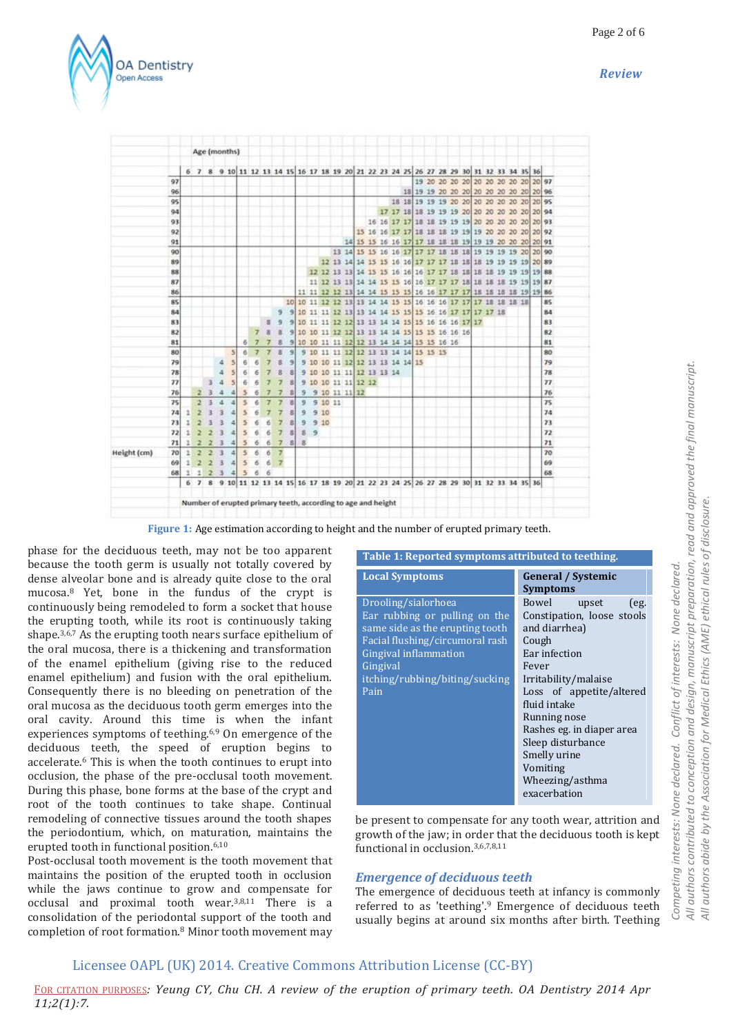*Review*



|             |    |   | Age (months)   |                |     |                             |        |    |                |                |                |                         |   |      |               |  |                           |  |                                 |                                                                                          |  |  |  |  |    |
|-------------|----|---|----------------|----------------|-----|-----------------------------|--------|----|----------------|----------------|----------------|-------------------------|---|------|---------------|--|---------------------------|--|---------------------------------|------------------------------------------------------------------------------------------|--|--|--|--|----|
|             |    |   |                |                |     |                             |        |    |                |                |                |                         |   |      |               |  |                           |  |                                 |                                                                                          |  |  |  |  |    |
|             |    |   |                |                |     |                             |        |    |                |                |                |                         |   |      |               |  |                           |  |                                 | 6 7 8 9 10 11 12 13 14 15 16 17 18 19 20 21 22 23 24 25 26 27 28 29 30 31 32 33 34 35 36 |  |  |  |  |    |
|             | 97 |   |                |                |     |                             |        |    |                |                |                |                         |   |      |               |  |                           |  |                                 | 19 20 20 20 20 20 20 20 20 20 20 20 97                                                   |  |  |  |  |    |
|             | 96 |   |                |                |     |                             |        |    |                |                |                |                         |   |      |               |  |                           |  |                                 | 18 19 19 20 20 20 20 20 20 20 20 20 20 96                                                |  |  |  |  |    |
|             | 95 |   |                |                |     |                             |        |    |                |                |                |                         |   |      |               |  |                           |  |                                 | 18 18 19 19 19 20 20 20 20 20 20 20 20 30 95                                             |  |  |  |  |    |
|             | 94 |   |                |                |     |                             |        |    |                |                |                |                         |   |      |               |  |                           |  |                                 | 17 17 18 18 19 19 19 20 20 20 20 20 20 20 94                                             |  |  |  |  |    |
|             | 93 |   |                |                |     |                             |        |    |                |                |                |                         |   |      |               |  |                           |  |                                 | 16 16 17 17 18 18 19 19 19 20 20 20 20 20 20 20 93                                       |  |  |  |  |    |
|             | 92 |   |                |                |     |                             |        |    |                |                |                |                         |   |      |               |  |                           |  |                                 | 15 16 16 17 17 18 18 18 19 19 19 20 20 20 20 20 20 92                                    |  |  |  |  |    |
|             | 91 |   |                |                |     |                             |        |    |                |                |                |                         |   |      |               |  |                           |  |                                 | 14 15 15 16 16 17 17 18 18 18 19 19 19 20 20 20 20 91                                    |  |  |  |  |    |
|             | 90 |   |                |                |     |                             |        |    |                |                |                |                         |   |      |               |  |                           |  |                                 | 13 14 15 15 16 16 17 17 17 18 18 18 19 19 19 19 20 20 90                                 |  |  |  |  |    |
|             | 89 |   |                |                |     |                             |        |    |                |                |                |                         |   |      |               |  |                           |  |                                 | 12 13 14 14 15 15 16 16 17 17 17 18 18 18 19 19 19 19 20 89                              |  |  |  |  |    |
|             | 88 |   |                |                |     |                             |        |    |                |                |                |                         |   |      |               |  |                           |  |                                 | 12 12 13 13 14 15 15 16 16 16 17 17 18 18 18 18 19 19 19 19 88                           |  |  |  |  |    |
|             | 87 |   |                |                |     |                             |        |    |                |                |                |                         |   |      |               |  |                           |  |                                 | 11 12 13 13 14 14 15 15 16 16 17 17 17 18 18 18 18 19 19 19 87                           |  |  |  |  |    |
|             | 86 |   |                |                |     |                             |        |    |                |                |                |                         |   |      |               |  |                           |  |                                 | 11 11 12 12 13 14 14 15 15 15 16 16 17 17 17 18 18 18 18 19 19 86                        |  |  |  |  |    |
|             | 85 |   |                |                |     |                             |        |    |                |                |                |                         |   |      |               |  |                           |  |                                 | 10 10 11 12 12 13 13 14 14 15 15 16 16 16 17 17 17 18 18 18 18                           |  |  |  |  | 85 |
|             | 84 |   |                |                |     |                             |        |    |                | э              |                |                         |   |      |               |  |                           |  |                                 | 9 10 11 11 12 13 13 14 14 15 15 15 16 16 17 17 17 17 18                                  |  |  |  |  | 84 |
|             | 83 |   |                |                |     |                             |        |    | s              | 9              | 9              |                         |   |      |               |  |                           |  |                                 | 10 11 11 12 12 13 13 14 14 15 15 16 16 16 17 17                                          |  |  |  |  | 83 |
|             | 82 |   |                |                |     |                             |        | 7  | $\overline{a}$ | 3              | 91             |                         |   |      |               |  |                           |  |                                 | 10 10 11 12 12 13 13 14 14 15 15 15 16 16 16                                             |  |  |  |  | 82 |
|             | 81 |   |                |                |     |                             | 6      | -7 |                | 8              |                |                         |   |      |               |  |                           |  |                                 | 9 10 10 11 11 12 12 13 14 14 14 15 15 16 16                                              |  |  |  |  | 81 |
|             | 80 |   |                |                |     | $\vert$                     | 6      | 7  |                | 8              |                |                         |   |      |               |  |                           |  |                                 | 9 9 10 11 11 12 12 13 13 14 14 15 15 15                                                  |  |  |  |  | 80 |
|             | 79 |   |                |                | 4   | $\overline{5}$              | б      | б  |                | 8              | $\mathfrak{B}$ |                         |   |      |               |  |                           |  | 9 10 10 11 12 12 13 13 14 14 15 |                                                                                          |  |  |  |  | 79 |
|             | 78 |   |                |                | 4   | 5                           | б      | 6  |                | 3              | 8              |                         |   |      |               |  | 9 10 10 11 11 12 13 13 14 |  |                                 |                                                                                          |  |  |  |  | 78 |
|             | 77 |   |                |                |     | 5                           | б      | б  |                | 7              | 8              |                         |   |      |               |  | 9 10 10 11 11 12 12       |  |                                 |                                                                                          |  |  |  |  | 77 |
|             | 76 |   | 2              | з              | 4   | а                           | 5      | б  |                | 7              | 8              | 9                       |   |      | 9 10 11 11 12 |  |                           |  |                                 |                                                                                          |  |  |  |  | 76 |
|             | 75 |   | 2              | з              | 4   | 4                           | $\leq$ | 6  | ァ              | 7              | 8              | $\overline{9}$          |   |      | 9 10 11       |  |                           |  |                                 |                                                                                          |  |  |  |  | 75 |
|             | 74 | 1 |                |                | ä   | 4                           | 馬      | 6  |                |                | s              | 9                       |   | 9:10 |               |  |                           |  |                                 |                                                                                          |  |  |  |  | 74 |
|             | 73 | 1 |                | з              | з   | 4                           | 5      | б  | ń              | 7              | g              | э                       |   | 910  |               |  |                           |  |                                 |                                                                                          |  |  |  |  | 73 |
|             | 72 |   |                |                | 3   | 4                           | 5      | б  | 6              | 7              | g              | 8                       | 9 |      |               |  |                           |  |                                 |                                                                                          |  |  |  |  | 72 |
|             | 71 |   |                |                |     | 4                           | 5      | 6  | б              | $\overline{7}$ | g              | $\overline{\mathbf{g}}$ |   |      |               |  |                           |  |                                 |                                                                                          |  |  |  |  | 71 |
| Height (cm) | 70 | 1 | $\overline{2}$ | $\overline{2}$ | 3   | 4                           | 5      | 6  | 6              | 7              |                |                         |   |      |               |  |                           |  |                                 |                                                                                          |  |  |  |  | 70 |
|             | 69 | 1 | 2              | $\overline{2}$ | 3   | $\left  \mathbf{d} \right $ | 5      | 6  | 6              | $\mathbf{7}$   |                |                         |   |      |               |  |                           |  |                                 |                                                                                          |  |  |  |  | 69 |
|             | 68 | 1 | $\mathbf{1}$   | 2              | - 3 |                             | 43.5   | 6  | 6              |                |                |                         |   |      |               |  |                           |  |                                 |                                                                                          |  |  |  |  | 68 |
|             |    |   |                |                |     |                             |        |    |                |                |                |                         |   |      |               |  |                           |  |                                 | 6 7 8 9 10 11 12 13 14 15 16 17 18 19 20 21 22 23 24 25 26 27 28 29 30 31 32 33 34 35 36 |  |  |  |  |    |
|             |    |   |                |                |     |                             |        |    |                |                |                |                         |   |      |               |  |                           |  |                                 |                                                                                          |  |  |  |  |    |

**Figure 1:** Age estimation according to height and the number of erupted primary teeth.

phase for the deciduous teeth, may not be too apparent because the tooth germ is usually not totally covered by dense alveolar bone and is already quite close to the oral mucosa.<sup>8</sup> Yet, bone in the fundus of the crypt is continuously being remodeled to form a socket that house the erupting tooth, while its root is continuously taking shape.3,6,7 As the erupting tooth nears surface epithelium of the oral mucosa, there is a thickening and transformation of the enamel epithelium (giving rise to the reduced enamel epithelium) and fusion with the oral epithelium. Consequently there is no bleeding on penetration of the oral mucosa as the deciduous tooth germ emerges into the oral cavity. Around this time is when the infant experiences symptoms of teething.6,9 On emergence of the deciduous teeth, the speed of eruption begins to accelerate.<sup>6</sup> This is when the tooth continues to erupt into occlusion, the phase of the pre-occlusal tooth movement. During this phase, bone forms at the base of the crypt and root of the tooth continues to take shape. Continual remodeling of connective tissues around the tooth shapes the periodontium, which, on maturation, maintains the erupted tooth in functional position.6,10

Post-occlusal tooth movement is the tooth movement that maintains the position of the erupted tooth in occlusion while the jaws continue to grow and compensate for occlusal and proximal tooth wear.3,8,11 There is a consolidation of the periodontal support of the tooth and completion of root formation.<sup>8</sup> Minor tooth movement may

| <b>Local Symptoms</b>                                                                                                                                                                                     | <b>General / Systemic</b><br><b>Symptoms</b>                                                                                                                                                                                                                                                                  |
|-----------------------------------------------------------------------------------------------------------------------------------------------------------------------------------------------------------|---------------------------------------------------------------------------------------------------------------------------------------------------------------------------------------------------------------------------------------------------------------------------------------------------------------|
| Drooling/sialorhoea<br>Ear rubbing or pulling on the<br>same side as the erupting tooth<br>Facial flushing/circumoral rash<br>Gingival inflammation<br>Gingival<br>itching/rubbing/biting/sucking<br>Pain | Bowel<br>upset<br>(eg.<br>Constipation, loose stools<br>and diarrhea)<br>Cough<br>Ear infection<br>Fever<br>Irritability/malaise<br>Loss of appetite/altered<br>fluid intake<br>Running nose<br>Rashes eg. in diaper area<br>Sleep disturbance<br>Smelly urine<br>Vomiting<br>Wheezing/asthma<br>exacerbation |
|                                                                                                                                                                                                           |                                                                                                                                                                                                                                                                                                               |

**Table 1: Reported symptoms attributed to teething.**

be present to compensate for any tooth wear, attrition and growth of the jaw; in order that the deciduous tooth is kept functional in occlusion.3,6,7,8,11

#### *Emergence of deciduous teeth*

The emergence of deciduous teeth at infancy is commonly referred to as 'teething'.<sup>9</sup> Emergence of deciduous teeth usually begins at around six months after birth. Teething

## Licensee OAPL (UK) 2014. Creative Commons Attribution License (CC-BY)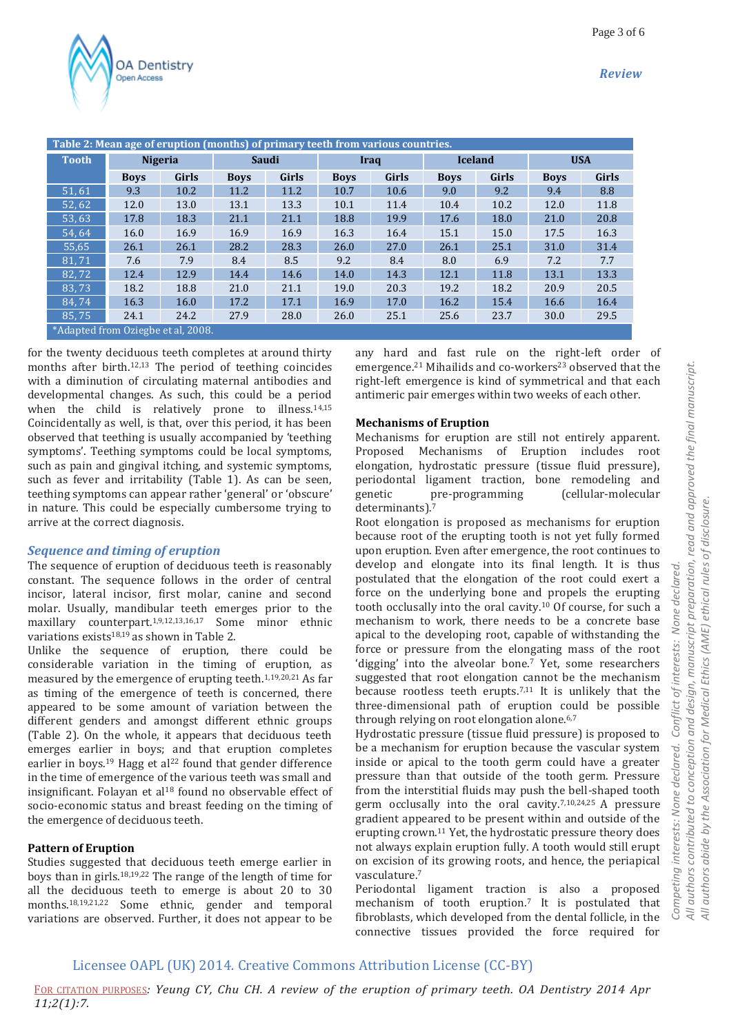*Review*



|                                    | Table 2: Mean age of eruption (months) of primary teeth from various countries. |                |             |              |             |              |             |                |             |              |  |  |  |  |  |
|------------------------------------|---------------------------------------------------------------------------------|----------------|-------------|--------------|-------------|--------------|-------------|----------------|-------------|--------------|--|--|--|--|--|
| <b>Tooth</b>                       |                                                                                 | <b>Nigeria</b> |             | <b>Saudi</b> | Iraq        |              |             | <b>Iceland</b> | <b>USA</b>  |              |  |  |  |  |  |
|                                    | <b>Boys</b>                                                                     | Girls          | <b>Boys</b> | Girls        | <b>Boys</b> | <b>Girls</b> | <b>Boys</b> | <b>Girls</b>   | <b>Boys</b> | <b>Girls</b> |  |  |  |  |  |
| $\sqrt{51, 61}$                    | 9.3                                                                             | 10.2           | 11.2        | 11.2         | 10.7        | 10.6         | 9.0         | 9.2            | 9.4         | 8.8          |  |  |  |  |  |
| 52,62                              | 12.0                                                                            | 13.0           | 13.1        | 13.3         | 10.1        | 11.4         | 10.4        | 10.2           | 12.0        | 11.8         |  |  |  |  |  |
| 53,63                              | 17.8                                                                            | 18.3           | 21.1        | 21.1         | 18.8        | 19.9         | 17.6        | 18.0           | 21.0        | 20.8         |  |  |  |  |  |
| 54.64                              | 16.0                                                                            | 16.9           | 16.9        | 16.9         | 16.3        | 16.4         | 15.1        | 15.0           | 17.5        | 16.3         |  |  |  |  |  |
| 55,65                              | 26.1                                                                            | 26.1           | 28.2        | 28.3         | 26.0        | 27.0         | 26.1        | 25.1           | 31.0        | 31.4         |  |  |  |  |  |
| 81.71                              | 7.6                                                                             | 7.9            | 8.4         | 8.5          | 9.2         | 8.4          | 8.0         | 6.9            | 7.2         | 7.7          |  |  |  |  |  |
| 82.72                              | 12.4                                                                            | 12.9           | 14.4        | 14.6         | 14.0        | 14.3         | 12.1        | 11.8           | 13.1        | 13.3         |  |  |  |  |  |
| 83,73                              | 18.2                                                                            | 18.8           | 21.0        | 21.1         | 19.0        | 20.3         | 19.2        | 18.2           | 20.9        | 20.5         |  |  |  |  |  |
| 84.74                              | 16.3                                                                            | 16.0           | 17.2        | 17.1         | 16.9        | 17.0         | 16.2        | 15.4           | 16.6        | 16.4         |  |  |  |  |  |
| 85.75                              | 24.1                                                                            | 24.2           | 27.9        | 28.0         | 26.0        | 25.1         | 25.6        | 23.7           | 30.0        | 29.5         |  |  |  |  |  |
| *Adapted from Oziegbe et al, 2008. |                                                                                 |                |             |              |             |              |             |                |             |              |  |  |  |  |  |

for the twenty deciduous teeth completes at around thirty months after birth.12,13 The period of teething coincides with a diminution of circulating maternal antibodies and developmental changes. As such, this could be a period when the child is relatively prone to illness.<sup>14,15</sup> Coincidentally as well, is that, over this period, it has been observed that teething is usually accompanied by 'teething symptoms'. Teething symptoms could be local symptoms, such as pain and gingival itching, and systemic symptoms, such as fever and irritability (Table 1). As can be seen, teething symptoms can appear rather 'general' or 'obscure' in nature. This could be especially cumbersome trying to arrive at the correct diagnosis.

## *Sequence and timing of eruption*

The sequence of eruption of deciduous teeth is reasonably constant. The sequence follows in the order of central incisor, lateral incisor, first molar, canine and second molar. Usually, mandibular teeth emerges prior to the maxillary counterpart.1,9,12,13,16,17 Some minor ethnic variations exists<sup>18,19</sup> as shown in Table 2.

Unlike the sequence of eruption, there could be considerable variation in the timing of eruption, as measured by the emergence of erupting teeth.1,19,20,21 As far as timing of the emergence of teeth is concerned, there appeared to be some amount of variation between the different genders and amongst different ethnic groups (Table 2). On the whole, it appears that deciduous teeth emerges earlier in boys; and that eruption completes earlier in boys.<sup>19</sup> Hagg et al<sup>22</sup> found that gender difference in the time of emergence of the various teeth was small and insignificant. Folayan et al<sup>18</sup> found no observable effect of socio-economic status and breast feeding on the timing of the emergence of deciduous teeth.

## **Pattern of Eruption**

Studies suggested that deciduous teeth emerge earlier in boys than in girls.18,19,22 The range of the length of time for all the deciduous teeth to emerge is about 20 to 30 months.18,19,21,22 Some ethnic, gender and temporal variations are observed. Further, it does not appear to be any hard and fast rule on the right-left order of emergence.<sup>21</sup> Mihailids and co-workers<sup>23</sup> observed that the right-left emergence is kind of symmetrical and that each antimeric pair emerges within two weeks of each other.

## **Mechanisms of Eruption**

Mechanisms for eruption are still not entirely apparent. Proposed Mechanisms of Eruption includes root elongation, hydrostatic pressure (tissue fluid pressure), periodontal ligament traction, bone remodeling and genetic pre-programming (cellular-molecular determinants).<sup>7</sup>

Root elongation is proposed as mechanisms for eruption because root of the erupting tooth is not yet fully formed upon eruption. Even after emergence, the root continues to develop and elongate into its final length. It is thus postulated that the elongation of the root could exert a force on the underlying bone and propels the erupting tooth occlusally into the oral cavity.<sup>10</sup> Of course, for such a mechanism to work, there needs to be a concrete base apical to the developing root, capable of withstanding the force or pressure from the elongating mass of the root 'digging' into the alveolar bone.<sup>7</sup> Yet, some researchers suggested that root elongation cannot be the mechanism because rootless teeth erupts.<sup>7,11</sup> It is unlikely that the three-dimensional path of eruption could be possible through relying on root elongation alone.<sup>6,7</sup>

Hydrostatic pressure (tissue fluid pressure) is proposed to be a mechanism for eruption because the vascular system inside or apical to the tooth germ could have a greater pressure than that outside of the tooth germ. Pressure from the interstitial fluids may push the bell-shaped tooth germ occlusally into the oral cavity.7,10,24,25 A pressure gradient appeared to be present within and outside of the erupting crown.<sup>11</sup> Yet, the hydrostatic pressure theory does not always explain eruption fully. A tooth would still erupt on excision of its growing roots, and hence, the periapical vasculature.<sup>7</sup>

Periodontal ligament traction is also a proposed mechanism of tooth eruption.<sup>7</sup> It is postulated that fibroblasts, which developed from the dental follicle, in the connective tissues provided the force required for

# Licensee OAPL (UK) 2014. Creative Commons Attribution License (CC-BY)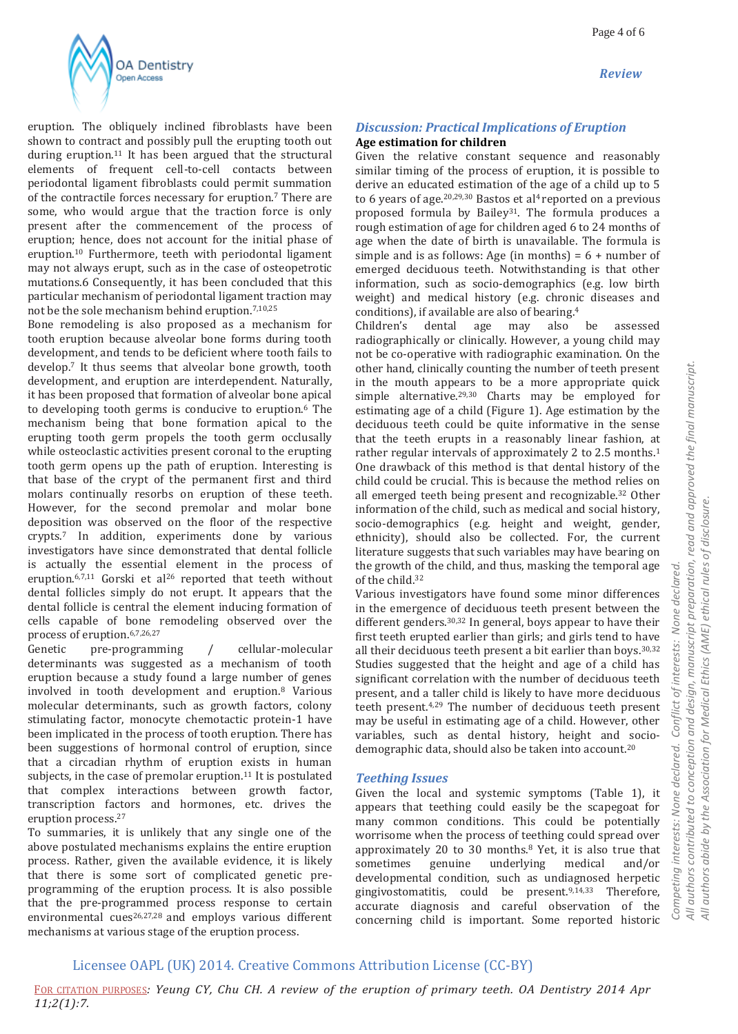

eruption. The obliquely inclined fibroblasts have been shown to contract and possibly pull the erupting tooth out during eruption.<sup>11</sup> It has been argued that the structural elements of frequent cell-to-cell contacts between periodontal ligament fibroblasts could permit summation of the contractile forces necessary for eruption.<sup>7</sup> There are some, who would argue that the traction force is only present after the commencement of the process of eruption; hence, does not account for the initial phase of eruption.<sup>10</sup> Furthermore, teeth with periodontal ligament may not always erupt, such as in the case of osteopetrotic mutations.6 Consequently, it has been concluded that this particular mechanism of periodontal ligament traction may not be the sole mechanism behind eruption.7,10,25

Bone remodeling is also proposed as a mechanism for tooth eruption because alveolar bone forms during tooth development, and tends to be deficient where tooth fails to develop.<sup>7</sup> It thus seems that alveolar bone growth, tooth development, and eruption are interdependent. Naturally, it has been proposed that formation of alveolar bone apical to developing tooth germs is conducive to eruption.<sup>6</sup> The mechanism being that bone formation apical to the erupting tooth germ propels the tooth germ occlusally while osteoclastic activities present coronal to the erupting tooth germ opens up the path of eruption. Interesting is that base of the crypt of the permanent first and third molars continually resorbs on eruption of these teeth. However, for the second premolar and molar bone deposition was observed on the floor of the respective crypts.<sup>7</sup> In addition, experiments done by various investigators have since demonstrated that dental follicle is actually the essential element in the process of eruption.<sup>6,7,11</sup> Gorski et al<sup>26</sup> reported that teeth without dental follicles simply do not erupt. It appears that the dental follicle is central the element inducing formation of cells capable of bone remodeling observed over the process of eruption.6,7,26,27

Genetic pre-programming / cellular-molecular determinants was suggested as a mechanism of tooth eruption because a study found a large number of genes involved in tooth development and eruption.<sup>8</sup> Various molecular determinants, such as growth factors, colony stimulating factor, monocyte chemotactic protein-1 have been implicated in the process of tooth eruption. There has been suggestions of hormonal control of eruption, since that a circadian rhythm of eruption exists in human subjects, in the case of premolar eruption.<sup>11</sup> It is postulated that complex interactions between growth factor, transcription factors and hormones, etc. drives the eruption process.<sup>27</sup>

To summaries, it is unlikely that any single one of the above postulated mechanisms explains the entire eruption process. Rather, given the available evidence, it is likely that there is some sort of complicated genetic preprogramming of the eruption process. It is also possible that the pre-programmed process response to certain environmental cues<sup>26,27,28</sup> and employs various different mechanisms at various stage of the eruption process.

## *Discussion: Practical Implications of Eruption* **Age estimation for children**

Given the relative constant sequence and reasonably similar timing of the process of eruption, it is possible to derive an educated estimation of the age of a child up to 5 to 6 years of age. $20,29,30$  Bastos et al<sup>4</sup> reported on a previous proposed formula by Bailey<sup>31</sup>. The formula produces a rough estimation of age for children aged 6 to 24 months of age when the date of birth is unavailable. The formula is simple and is as follows: Age (in months) =  $6 +$  number of emerged deciduous teeth. Notwithstanding is that other information, such as socio-demographics (e.g. low birth weight) and medical history (e.g. chronic diseases and conditions), if available are also of bearing.<sup>4</sup>

Children's dental age may also be assessed radiographically or clinically. However, a young child may not be co-operative with radiographic examination. On the other hand, clinically counting the number of teeth present in the mouth appears to be a more appropriate quick simple alternative.29,30 Charts may be employed for estimating age of a child (Figure 1). Age estimation by the deciduous teeth could be quite informative in the sense that the teeth erupts in a reasonably linear fashion, at rather regular intervals of approximately 2 to 2.5 months.<sup>1</sup> One drawback of this method is that dental history of the child could be crucial. This is because the method relies on all emerged teeth being present and recognizable.<sup>32</sup> Other information of the child, such as medical and social history, socio-demographics (e.g. height and weight, gender, ethnicity), should also be collected. For, the current literature suggests that such variables may have bearing on the growth of the child, and thus, masking the temporal age of the child.<sup>32</sup>

Various investigators have found some minor differences in the emergence of deciduous teeth present between the different genders.<sup>30,32</sup> In general, boys appear to have their first teeth erupted earlier than girls; and girls tend to have all their deciduous teeth present a bit earlier than boys.30,32 Studies suggested that the height and age of a child has significant correlation with the number of deciduous teeth present, and a taller child is likely to have more deciduous teeth present.4,29 The number of deciduous teeth present may be useful in estimating age of a child. However, other variables, such as dental history, height and sociodemographic data, should also be taken into account.<sup>20</sup>

## *Teething Issues*

Given the local and systemic symptoms (Table 1), it appears that teething could easily be the scapegoat for many common conditions. This could be potentially worrisome when the process of teething could spread over approximately 20 to 30 months.<sup>8</sup> Yet, it is also true that sometimes genuine underlying medical and/or developmental condition, such as undiagnosed herpetic gingivostomatitis, could be present.9,14,33 Therefore, accurate diagnosis and careful observation of the concerning child is important. Some reported historic

 $\frac{1}{4}$  $\frac{1}{2}$ 

## Licensee OAPL (UK) 2014. Creative Commons Attribution License (CC-BY)

FOR CITATION PURPOSES*: Yeung CY, Chu CH. A review of the eruption of primary teeth. OA Dentistry 2014 Apr 11;2(1):7.*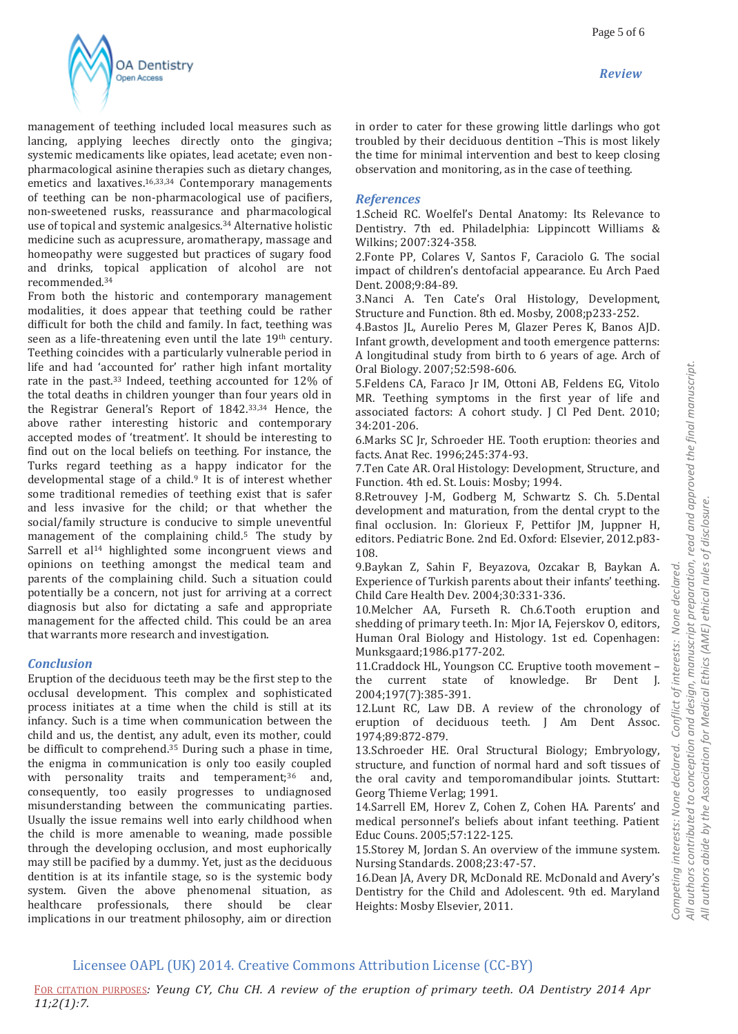

management of teething included local measures such as lancing, applying leeches directly onto the gingiva; systemic medicaments like opiates, lead acetate; even nonpharmacological asinine therapies such as dietary changes, emetics and laxatives.<sup>16,33,34</sup> Contemporary managements of teething can be non-pharmacological use of pacifiers, non-sweetened rusks, reassurance and pharmacological use of topical and systemic analgesics.<sup>34</sup> Alternative holistic medicine such as acupressure, aromatherapy, massage and homeopathy were suggested but practices of sugary food and drinks, topical application of alcohol are not recommended.<sup>34</sup>

From both the historic and contemporary management modalities, it does appear that teething could be rather difficult for both the child and family. In fact, teething was seen as a life-threatening even until the late 19<sup>th</sup> century. Teething coincides with a particularly vulnerable period in life and had 'accounted for' rather high infant mortality rate in the past.<sup>33</sup> Indeed, teething accounted for 12% of the total deaths in children younger than four years old in the Registrar General's Report of 1842.33,34 Hence, the above rather interesting historic and contemporary accepted modes of 'treatment'. It should be interesting to find out on the local beliefs on teething. For instance, the Turks regard teething as a happy indicator for the developmental stage of a child.<sup>9</sup> It is of interest whether some traditional remedies of teething exist that is safer and less invasive for the child; or that whether the social/family structure is conducive to simple uneventful management of the complaining child.<sup>5</sup> The study by Sarrell et al<sup>14</sup> highlighted some incongruent views and opinions on teething amongst the medical team and parents of the complaining child. Such a situation could potentially be a concern, not just for arriving at a correct diagnosis but also for dictating a safe and appropriate management for the affected child. This could be an area that warrants more research and investigation.

## *Conclusion*

Eruption of the deciduous teeth may be the first step to the occlusal development. This complex and sophisticated process initiates at a time when the child is still at its infancy. Such is a time when communication between the child and us, the dentist, any adult, even its mother, could be difficult to comprehend.<sup>35</sup> During such a phase in time, the enigma in communication is only too easily coupled with personality traits and temperament;<sup>36</sup> and, consequently, too easily progresses to undiagnosed misunderstanding between the communicating parties. Usually the issue remains well into early childhood when the child is more amenable to weaning, made possible through the developing occlusion, and most euphorically may still be pacified by a dummy. Yet, just as the deciduous dentition is at its infantile stage, so is the systemic body system. Given the above phenomenal situation, as healthcare professionals, there should be clear implications in our treatment philosophy, aim or direction

in order to cater for these growing little darlings who got troubled by their deciduous dentition –This is most likely the time for minimal intervention and best to keep closing observation and monitoring, as in the case of teething.

## *References*

1.Scheid RC. Woelfel's Dental Anatomy: Its Relevance to Dentistry. 7th ed. Philadelphia: Lippincott Williams & Wilkins; 2007:324-358.

2.Fonte PP, Colares V, Santos F, Caraciolo G. The social impact of children's dentofacial appearance. Eu Arch Paed Dent. 2008;9:84-89.

3.Nanci A. Ten Cate's Oral Histology, Development, Structure and Function. 8th ed. Mosby, 2008;p233-252.

4.Bastos JL, Aurelio Peres M, Glazer Peres K, Banos AJD. Infant growth, development and tooth emergence patterns: A longitudinal study from birth to 6 years of age. Arch of Oral Biology. 2007;52:598-606.

5.Feldens CA, Faraco Jr IM, Ottoni AB, Feldens EG, Vitolo MR. Teething symptoms in the first year of life and associated factors: A cohort study. J Cl Ped Dent. 2010; 34:201-206.

6.Marks SC Jr, Schroeder HE. Tooth eruption: theories and facts. Anat Rec. 1996;245:374-93.

7.Ten Cate AR. Oral Histology: Development, Structure, and Function. 4th ed. St. Louis: Mosby; 1994.

8.Retrouvey J-M, Godberg M, Schwartz S. Ch. 5.Dental development and maturation, from the dental crypt to the final occlusion. In: Glorieux F, Pettifor JM, Juppner H, editors. Pediatric Bone. 2nd Ed. Oxford: Elsevier, 2012.p83- 108.

9.Baykan Z, Sahin F, Beyazova, Ozcakar B, Baykan A. Experience of Turkish parents about their infants' teething. Child Care Health Dev. 2004;30:331-336.

10.Melcher AA, Furseth R. Ch.6.Tooth eruption and shedding of primary teeth. In: Mjor IA, Fejerskov O, editors, Human Oral Biology and Histology. 1st ed. Copenhagen: Munksgaard;1986.p177-202.

11.Craddock HL, Youngson CC. Eruptive tooth movement – the current state of knowledge. Br Dent J. 2004;197(7):385-391.

12.Lunt RC, Law DB. A review of the chronology of eruption of deciduous teeth. J Am Dent Assoc. 1974;89:872-879.

13.Schroeder HE. Oral Structural Biology; Embryology, structure, and function of normal hard and soft tissues of the oral cavity and temporomandibular joints. Stuttart: Georg Thieme Verlag; 1991.

14.Sarrell EM, Horev Z, Cohen Z, Cohen HA. Parents' and medical personnel's beliefs about infant teething. Patient Educ Couns. 2005;57:122-125.

15.Storey M, Jordan S. An overview of the immune system. Nursing Standards. 2008;23:47-57.

16.Dean JA, Avery DR, McDonald RE. McDonald and Avery's Dentistry for the Child and Adolescent. 9th ed. Maryland Heights: Mosby Elsevier, 2011.

# Licensee OAPL (UK) 2014. Creative Commons Attribution License (CC-BY)